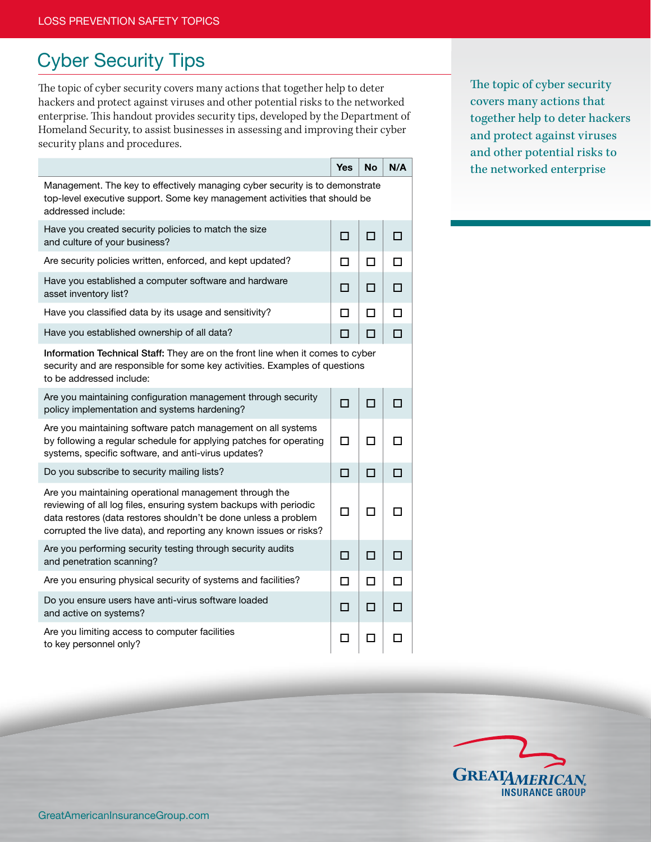## Cyber Security Tips

The topic of cyber security covers many actions that together help to deter hackers and protect against viruses and other potential risks to the networked enterprise. This handout provides security tips, developed by the Department of Homeland Security, to assist businesses in assessing and improving their cyber security plans and procedures.

Yes  $\vert$  No  $\vert$  N/A Management. The key to effectively managing cyber security is to demonstrate top-level executive support. Some key management activities that should be addressed include: Have you created security policies to match the size and culture of your business? Are security policies written, enforced, and kept updated?  $\Box$   $\Box$ Have you established a computer software and hardware  $\left[\begin{array}{c|c} \Box & \Box & \Box \end{array}\right]$   $\Box$   $\Box$ Have you classified data by its usage and sensitivity?  $\Box$   $\Box$ Have you established ownership of all data?  $\Box$   $\Box$ Information Technical Staff: They are on the front line when it comes to cyber security and are responsible for some key activities. Examples of questions to be addressed include: Are you maintaining configuration management through security  $P$  policy implementation and systems hardening? Are you maintaining software patch management on all systems by following a regular schedule for applying patches for operating systems, specific software, and anti-virus updates? n Inin Do you subscribe to security mailing lists?  $\Box$   $\Box$ Are you maintaining operational management through the reviewing of all log files, ensuring system backups with periodic data restores (data restores shouldn't be done unless a problem corrupted the live data), and reporting any known issues or risks? o o o Are you performing security testing through security audits and penetration scanning?  $\Box$   $\Box$ Are you ensuring physical security of systems and facilities?  $\Box \Box \Box$ Do you ensure users have anti-virus software loaded  $\Box$  or  $\Box$  on systems? Are you limiting access to computer facilities to key personnel only?  $\Box$   $\Box$   $\Box$ 

The topic of cyber security covers many actions that together help to deter hackers and protect against viruses and other potential risks to the networked enterprise